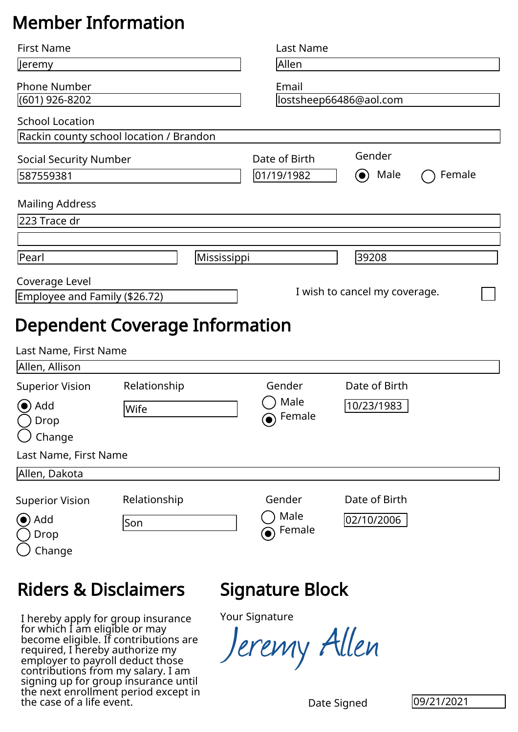## Member Information

| <b>First Name</b>                                                                                                                      |                                                                                                                                                                                               |             | <b>Last Name</b>                                     |                                  |            |
|----------------------------------------------------------------------------------------------------------------------------------------|-----------------------------------------------------------------------------------------------------------------------------------------------------------------------------------------------|-------------|------------------------------------------------------|----------------------------------|------------|
| Jeremy                                                                                                                                 |                                                                                                                                                                                               |             | Allen                                                |                                  |            |
| <b>Phone Number</b><br>(601) 926-8202                                                                                                  |                                                                                                                                                                                               |             | Email<br>lostsheep66486@aol.com                      |                                  |            |
| <b>School Location</b>                                                                                                                 |                                                                                                                                                                                               |             |                                                      |                                  |            |
| Rackin county school location / Brandon                                                                                                |                                                                                                                                                                                               |             |                                                      |                                  |            |
| <b>Social Security Number</b>                                                                                                          |                                                                                                                                                                                               |             | Date of Birth                                        | Gender                           |            |
| 587559381                                                                                                                              |                                                                                                                                                                                               |             | 01/19/1982                                           | Male<br>$\left( \bullet \right)$ | Female     |
| <b>Mailing Address</b>                                                                                                                 |                                                                                                                                                                                               |             |                                                      |                                  |            |
| 223 Trace dr                                                                                                                           |                                                                                                                                                                                               |             |                                                      |                                  |            |
|                                                                                                                                        |                                                                                                                                                                                               |             |                                                      |                                  |            |
| Pearl                                                                                                                                  |                                                                                                                                                                                               | Mississippi |                                                      | 39208                            |            |
| Coverage Level                                                                                                                         |                                                                                                                                                                                               |             |                                                      |                                  |            |
| Employee and Family (\$26.72)                                                                                                          |                                                                                                                                                                                               |             |                                                      | I wish to cancel my coverage.    |            |
| Last Name, First Name<br>Allen, Allison<br><b>Superior Vision</b><br>Add<br>Drop<br>Change<br>Last Name, First Name<br>Allen, Dakota   | Relationship<br>Wife                                                                                                                                                                          |             | Gender<br>Male<br>Female<br>$\left( \bullet \right)$ | Date of Birth<br>10/23/1983      |            |
| <b>Superior Vision</b>                                                                                                                 | Relationship                                                                                                                                                                                  |             | Gender                                               | Date of Birth                    |            |
| (●) Add<br>Drop<br>Change                                                                                                              | Son                                                                                                                                                                                           |             | Male<br>Female                                       | 02/10/2006                       |            |
| <b>Riders &amp; Disclaimers</b>                                                                                                        |                                                                                                                                                                                               |             | Signature Block                                      |                                  |            |
| required, I hereby authorize my<br>employer to payroll deduct those<br>contributions from my salary. I am<br>the case of a life event. | I hereby apply for group insurance<br>for which I am eligible or may<br>become eligible. If contributions are<br>signing up for group insurance until<br>the next enrollment period except in |             | <b>Your Signature</b><br>Ieremy Allen                | Date Signed                      | 09/21/2021 |

## Riders & Disclaimers

## Signature Block